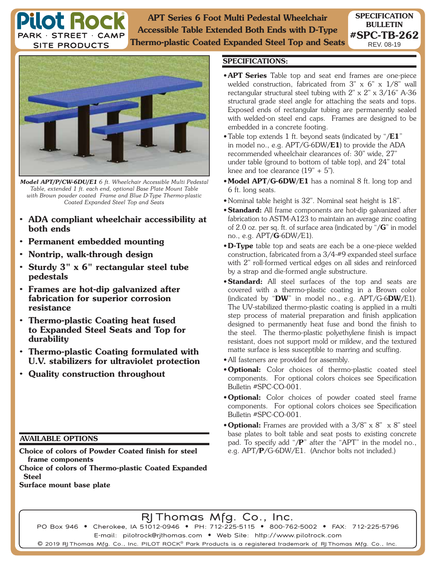**APT Series 6 Foot Multi Pedestal Wheelchair Accessible Table Extended Both Ends with D-Type Thermo-plastic Coated Expanded Steel Top and Seats**



**Pilot Roc** 

PARK · STREET · CAMP **SITE PRODUCTS** 

*Model APT/P/CW-6DU/E1 6 ft. Wheelchair Accessible Multi Pedestal Table, extended 1 ft. each end, optional Base Plate Mount Table with Brown powder coated Frame and Blue D-Type Thermo-plastic Coated Expanded Steel Top and Seats*

- **ADA compliant wheelchair accessibility at both ends**
- **Permanent embedded mounting**
- **Nontrip, walk-through design**
- **Sturdy 3" x 6" rectangular steel tube pedestals**
- **Frames are hot-dip galvanized after fabrication for superior corrosion resistance**
- **Thermo-plastic Coating heat fused to Expanded Steel Seats and Top for durability**
- **Thermo-plastic Coating formulated with U.V. stabilizers for ultraviolet protection**
- **Quality construction throughout**

## **AVAILABLE OPTIONS**

**Choice of colors of Powder Coated finish for steel frame components**

**Choice of colors of Thermo-plastic Coated Expanded Steel**

**Surface mount base plate**

## **SPECIFICATIONS:**

- **APT Series** Table top and seat end frames are one-piece welded construction, fabricated from 3" x 6" x 1/8" wall rectangular structural steel tubing with 2" x 2" x 3/16" A-36 structural grade steel angle for attaching the seats and tops. Exposed ends of rectangular tubing are permanently sealed with welded-on steel end caps. Frames are designed to be embedded in a concrete footing.
- Table top extends 1 ft. beyond seats (indicated by "**/E1**" in model no., e.g. APT/G-6DW**/E1**) to provide the ADA recommended wheelchair clearances of: 30" wide, 27" under table (ground to bottom of table top), and 24" total knee and toe clearance  $(19" + 5")$ .
- **Model APT/G-6DW/E1** has a nominal 8 ft. long top and 6 ft. long seats.
- Nominal table height is 32". Nominal seat height is 18".
- **Standard:** All frame components are hot-dip galvanized after fabrication to ASTM-A123 to maintain an average zinc coating of 2.0 oz. per sq. ft. of surface area (indicated by "**/G**" in model no., e.g. APT**/G**-6DW/E1).
- **D-Type** table top and seats are each be a one-piece welded construction, fabricated from a 3/4-#9 expanded steel surface with 2" roll-formed vertical edges on all sides and reinforced by a strap and die-formed angle substructure.
- **Standard:** All steel surfaces of the top and seats are covered with a thermo-plastic coating in a Brown color (indicated by "**DW**" in model no., e.g. APT/G-6**DW**/E1). The UV-stabilized thermo-plastic coating is applied in a multi step process of material preparation and finish application designed to permanently heat fuse and bond the finish to the steel. The thermo-plastic polyethylene finish is impact resistant, does not support mold or mildew, and the textured matte surface is less susceptible to marring and scuffing.
- All fasteners are provided for assembly.
- **Optional:** Color choices of thermo-plastic coated steel components. For optional colors choices see Specification Bulletin #SPC-CO-001.
- **Optional:** Color choices of powder coated steel frame components. For optional colors choices see Specification Bulletin #SPC-CO-001.
- **Optional:** Frames are provided with a 3/8" x 8" x 8" steel base plates to bolt table and seat posts to existing concrete pad. To specify add "**/P**" after the "APT" in the model no., e.g. APT**/P**/G-6DW/E1. (Anchor bolts not included.)

RJ Thomas Mfg. Co., Inc.

PO Box 946 • Cherokee, IA 51012-0946 • PH: 712-225-5115 • 800-762-5002 • FAX: 712-225-5796 E-mail: pilotrock@rjthomas.com • Web Site: http://www.pilotrock.com

 $\mathsf{\Theta}$  2019 RJ Thomas Mfg. Co., Inc. PILOT ROCK $^\circ$  Park Products is a registered trademark of RJ Thomas Mfg. Co., Inc.